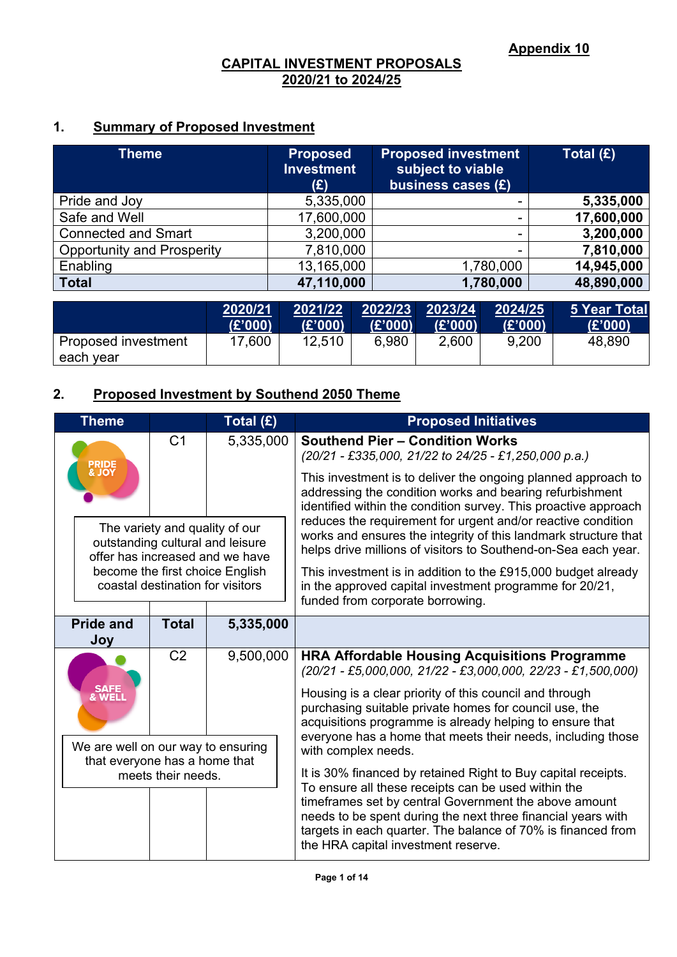## **1. Summary of Proposed Investment**

| <b>Theme</b>                      | <b>Proposed</b><br><b>Investment</b><br>(£) | <b>Proposed investment</b><br>subject to viable<br>business cases (£) | Total $(E)$ |
|-----------------------------------|---------------------------------------------|-----------------------------------------------------------------------|-------------|
| Pride and Joy                     | 5,335,000                                   |                                                                       | 5,335,000   |
| Safe and Well                     | 17,600,000                                  | ۰                                                                     | 17,600,000  |
| <b>Connected and Smart</b>        | 3,200,000                                   | ۰                                                                     | 3,200,000   |
| <b>Opportunity and Prosperity</b> | 7,810,000                                   | $\overline{\phantom{a}}$                                              | 7,810,000   |
| Enabling                          | 13,165,000                                  | 1,780,000                                                             | 14,945,000  |
| <b>Total</b>                      | 47,110,000                                  | 1,780,000                                                             | 48,890,000  |

|                                  | 2020/21 | 2021/22 | 2022/23 | 2023/24 | 2024/25 | 5 Year Total |
|----------------------------------|---------|---------|---------|---------|---------|--------------|
|                                  | (E'000) | (£'000) | (E'000) | (E'000) | (E'000) | (£'000)      |
| Proposed investment<br>each year | 17,600  | 12,510  | 6,980   | 2,600   | 9,200   | 48,890       |

# **2. Proposed Investment by Southend 2050 Theme**

| <b>Theme</b>                                                        |                                                                                                       |                | Total (£)                                                                                                                                                    | <b>Proposed Initiatives</b>                                                                                                                                                                                                  |  |
|---------------------------------------------------------------------|-------------------------------------------------------------------------------------------------------|----------------|--------------------------------------------------------------------------------------------------------------------------------------------------------------|------------------------------------------------------------------------------------------------------------------------------------------------------------------------------------------------------------------------------|--|
| <b>PRIDE<br/>&amp; JOY</b>                                          |                                                                                                       | C <sub>1</sub> | 5,335,000                                                                                                                                                    | <b>Southend Pier - Condition Works</b><br>$(20/21 - \text{\textsterling}335,000, 21/22 \text{ to } 24/25 - \text{\textsterling}1,250,000 \text{ p.a.})$                                                                      |  |
|                                                                     |                                                                                                       |                |                                                                                                                                                              | This investment is to deliver the ongoing planned approach to<br>addressing the condition works and bearing refurbishment<br>identified within the condition survey. This proactive approach                                 |  |
|                                                                     | The variety and quality of our<br>outstanding cultural and leisure<br>offer has increased and we have |                |                                                                                                                                                              | reduces the requirement for urgent and/or reactive condition<br>works and ensures the integrity of this landmark structure that<br>helps drive millions of visitors to Southend-on-Sea each year.                            |  |
| become the first choice English<br>coastal destination for visitors |                                                                                                       |                | This investment is in addition to the £915,000 budget already<br>in the approved capital investment programme for 20/21,<br>funded from corporate borrowing. |                                                                                                                                                                                                                              |  |
|                                                                     | <b>Total</b><br><b>Pride and</b><br>5,335,000                                                         |                |                                                                                                                                                              |                                                                                                                                                                                                                              |  |
|                                                                     | Joy                                                                                                   |                |                                                                                                                                                              |                                                                                                                                                                                                                              |  |
|                                                                     |                                                                                                       | C <sub>2</sub> | 9,500,000                                                                                                                                                    | <b>HRA Affordable Housing Acquisitions Programme</b><br>$(20/21 - \text{\textsterling}5,000,000, 21/22 - \text{\textsterling}3,000,000, 22/23 - \text{\textsterling}1,500,000)$                                              |  |
| SAFE<br>& WELI                                                      |                                                                                                       |                |                                                                                                                                                              | Housing is a clear priority of this council and through<br>purchasing suitable private homes for council use, the<br>acquisitions programme is already helping to ensure that                                                |  |
|                                                                     | We are well on our way to ensuring                                                                    |                |                                                                                                                                                              | everyone has a home that meets their needs, including those<br>with complex needs.                                                                                                                                           |  |
|                                                                     | that everyone has a home that<br>meets their needs.                                                   |                |                                                                                                                                                              | It is 30% financed by retained Right to Buy capital receipts.                                                                                                                                                                |  |
|                                                                     |                                                                                                       |                |                                                                                                                                                              | To ensure all these receipts can be used within the                                                                                                                                                                          |  |
|                                                                     |                                                                                                       |                |                                                                                                                                                              | timeframes set by central Government the above amount<br>needs to be spent during the next three financial years with<br>targets in each quarter. The balance of 70% is financed from<br>the HRA capital investment reserve. |  |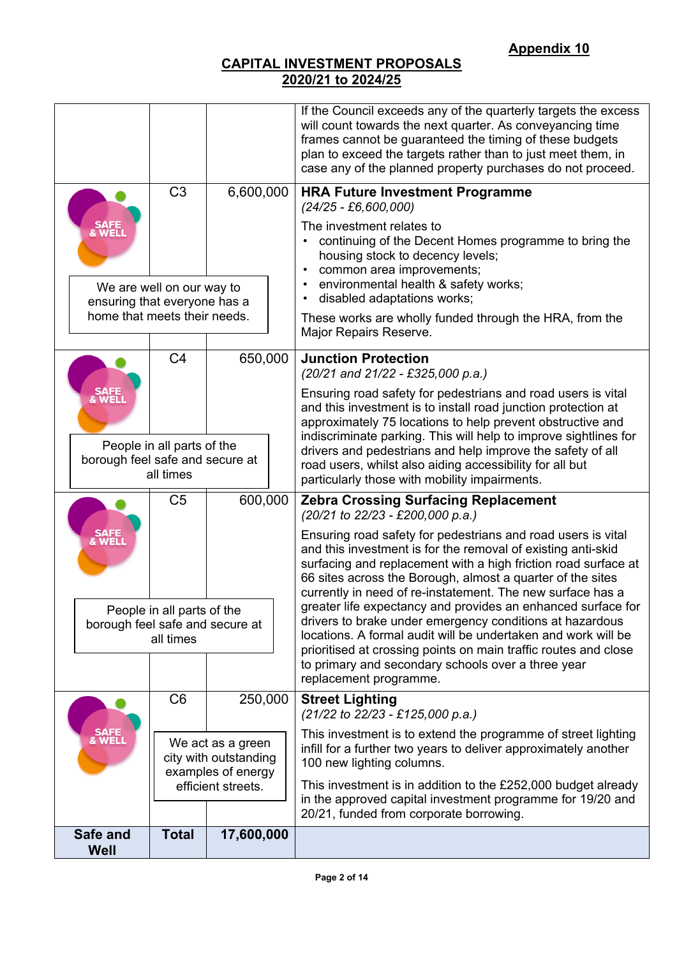|                                                              |                                                                            |                                                                                        | If the Council exceeds any of the quarterly targets the excess<br>will count towards the next quarter. As conveyancing time<br>frames cannot be guaranteed the timing of these budgets<br>plan to exceed the targets rather than to just meet them, in<br>case any of the planned property purchases do not proceed.                         |  |  |  |
|--------------------------------------------------------------|----------------------------------------------------------------------------|----------------------------------------------------------------------------------------|----------------------------------------------------------------------------------------------------------------------------------------------------------------------------------------------------------------------------------------------------------------------------------------------------------------------------------------------|--|--|--|
| <b>WELL</b>                                                  | C <sub>3</sub>                                                             | 6,600,000                                                                              | <b>HRA Future Investment Programme</b><br>$(24/25 - £6,600,000)$<br>The investment relates to<br>continuing of the Decent Homes programme to bring the<br>housing stock to decency levels;<br>common area improvements;                                                                                                                      |  |  |  |
| ensuring that everyone has a<br>home that meets their needs. | We are well on our way to                                                  |                                                                                        | environmental health & safety works;<br>disabled adaptations works;<br>These works are wholly funded through the HRA, from the<br>Major Repairs Reserve.                                                                                                                                                                                     |  |  |  |
|                                                              | C <sub>4</sub>                                                             | 650,000                                                                                | <b>Junction Protection</b><br>(20/21 and 21/22 - £325,000 p.a.)                                                                                                                                                                                                                                                                              |  |  |  |
| & WEL                                                        |                                                                            |                                                                                        | Ensuring road safety for pedestrians and road users is vital<br>and this investment is to install road junction protection at<br>approximately 75 locations to help prevent obstructive and<br>indiscriminate parking. This will help to improve sightlines for                                                                              |  |  |  |
|                                                              | People in all parts of the<br>borough feel safe and secure at<br>all times |                                                                                        | drivers and pedestrians and help improve the safety of all<br>road users, whilst also aiding accessibility for all but<br>particularly those with mobility impairments.                                                                                                                                                                      |  |  |  |
|                                                              | C <sub>5</sub>                                                             | 600,000                                                                                | <b>Zebra Crossing Surfacing Replacement</b><br>(20/21 to 22/23 - £200,000 p.a.)                                                                                                                                                                                                                                                              |  |  |  |
|                                                              |                                                                            |                                                                                        | Ensuring road safety for pedestrians and road users is vital<br>and this investment is for the removal of existing anti-skid<br>surfacing and replacement with a high friction road surface at<br>66 sites across the Borough, almost a quarter of the sites<br>currently in need of re-instatement. The new surface has a                   |  |  |  |
| borough feel safe and secure at                              | People in all parts of the<br>all times                                    |                                                                                        | greater life expectancy and provides an enhanced surface for<br>drivers to brake under emergency conditions at hazardous<br>locations. A formal audit will be undertaken and work will be<br>prioritised at crossing points on main traffic routes and close<br>to primary and secondary schools over a three year<br>replacement programme. |  |  |  |
|                                                              | C <sub>6</sub>                                                             | 250,000                                                                                | <b>Street Lighting</b><br>(21/22 to 22/23 - £125,000 p.a.)                                                                                                                                                                                                                                                                                   |  |  |  |
| SAFE<br>& WELI                                               |                                                                            | We act as a green<br>city with outstanding<br>examples of energy<br>efficient streets. | This investment is to extend the programme of street lighting<br>infill for a further two years to deliver approximately another<br>100 new lighting columns.<br>This investment is in addition to the £252,000 budget already<br>in the approved capital investment programme for 19/20 and<br>20/21, funded from corporate borrowing.      |  |  |  |
| Safe and<br>Well                                             | <b>Total</b>                                                               | 17,600,000                                                                             |                                                                                                                                                                                                                                                                                                                                              |  |  |  |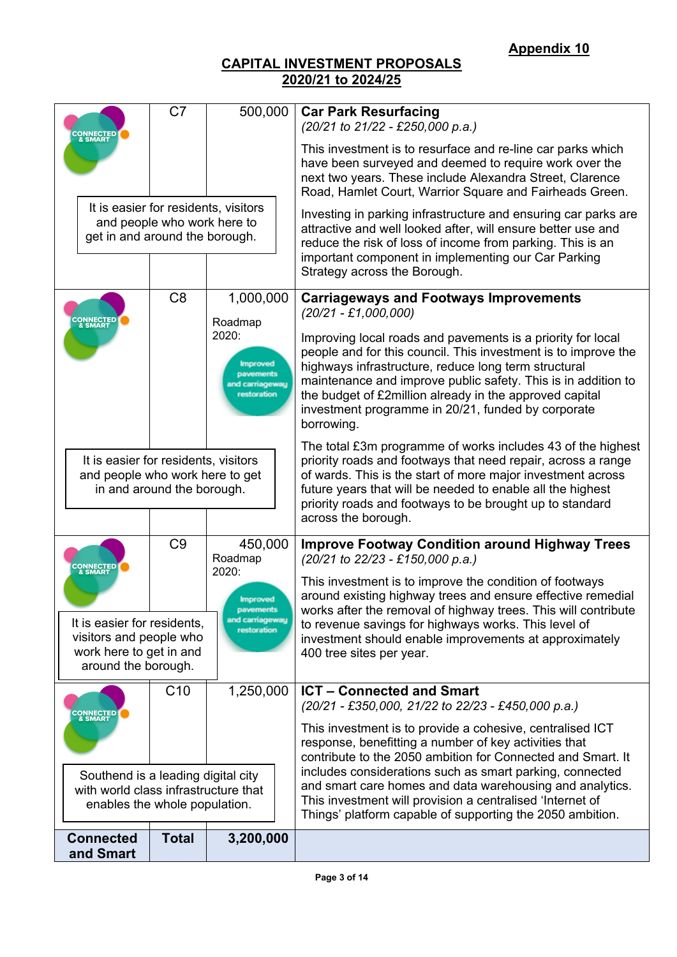|                                                                                                             | C <sub>7</sub>                                                                                        | 500,000                                                                 | <b>Car Park Resurfacing</b><br>(20/21 to 21/22 - £250,000 p.a.)                                                                                                                                                                                                                                                                                                                       |  |  |  |
|-------------------------------------------------------------------------------------------------------------|-------------------------------------------------------------------------------------------------------|-------------------------------------------------------------------------|---------------------------------------------------------------------------------------------------------------------------------------------------------------------------------------------------------------------------------------------------------------------------------------------------------------------------------------------------------------------------------------|--|--|--|
| <b>CONNECTED</b><br>& SMART                                                                                 |                                                                                                       |                                                                         | This investment is to resurface and re-line car parks which<br>have been surveyed and deemed to require work over the<br>next two years. These include Alexandra Street, Clarence<br>Road, Hamlet Court, Warrior Square and Fairheads Green.                                                                                                                                          |  |  |  |
| It is easier for residents, visitors<br>get in and around the borough.                                      | and people who work here to                                                                           |                                                                         | Investing in parking infrastructure and ensuring car parks are<br>attractive and well looked after, will ensure better use and<br>reduce the risk of loss of income from parking. This is an<br>important component in implementing our Car Parking<br>Strategy across the Borough.                                                                                                   |  |  |  |
| <b>CONNECTED</b><br>& SMART                                                                                 | C <sub>8</sub>                                                                                        | 1,000,000<br>Roadmap<br>2020:                                           | <b>Carriageways and Footways Improvements</b><br>$(20/21 - \pounds1,000,000)$                                                                                                                                                                                                                                                                                                         |  |  |  |
|                                                                                                             |                                                                                                       |                                                                         | Improving local roads and pavements is a priority for local<br>people and for this council. This investment is to improve the<br>highways infrastructure, reduce long term structural<br>maintenance and improve public safety. This is in addition to<br>the budget of £2million already in the approved capital<br>investment programme in 20/21, funded by corporate<br>borrowing. |  |  |  |
|                                                                                                             | It is easier for residents, visitors<br>and people who work here to get<br>in and around the borough. |                                                                         | The total £3m programme of works includes 43 of the highest<br>priority roads and footways that need repair, across a range<br>of wards. This is the start of more major investment across<br>future years that will be needed to enable all the highest<br>priority roads and footways to be brought up to standard<br>across the borough.                                           |  |  |  |
| <b>CONNECTED</b><br>& SMART                                                                                 | C <sub>9</sub>                                                                                        | 450,000<br>Roadmap                                                      | <b>Improve Footway Condition around Highway Trees</b><br>(20/21 to 22/23 - £150,000 p.a.)                                                                                                                                                                                                                                                                                             |  |  |  |
| It is easier for residents,<br>visitors and people who<br>work here to get in and<br>around the borough.    |                                                                                                       | 2020:<br><b>Improved</b><br>pavements<br>and carriageway<br>restoration | This investment is to improve the condition of footways<br>around existing highway trees and ensure effective remedial<br>works after the removal of highway trees. This will contribute<br>to revenue savings for highways works. This level of<br>investment should enable improvements at approximately<br>400 tree sites per year.                                                |  |  |  |
| <b>CONNECTED</b><br>& SMART                                                                                 | C10                                                                                                   | 1,250,000                                                               | <b>ICT - Connected and Smart</b><br>(20/21 - £350,000, 21/22 to 22/23 - £450,000 p.a.)                                                                                                                                                                                                                                                                                                |  |  |  |
|                                                                                                             |                                                                                                       |                                                                         | This investment is to provide a cohesive, centralised ICT<br>response, benefitting a number of key activities that<br>contribute to the 2050 ambition for Connected and Smart. It                                                                                                                                                                                                     |  |  |  |
| Southend is a leading digital city<br>with world class infrastructure that<br>enables the whole population. |                                                                                                       |                                                                         | includes considerations such as smart parking, connected<br>and smart care homes and data warehousing and analytics.<br>This investment will provision a centralised 'Internet of<br>Things' platform capable of supporting the 2050 ambition.                                                                                                                                        |  |  |  |
| <b>Connected</b><br>and Smart                                                                               | <b>Total</b>                                                                                          | 3,200,000                                                               |                                                                                                                                                                                                                                                                                                                                                                                       |  |  |  |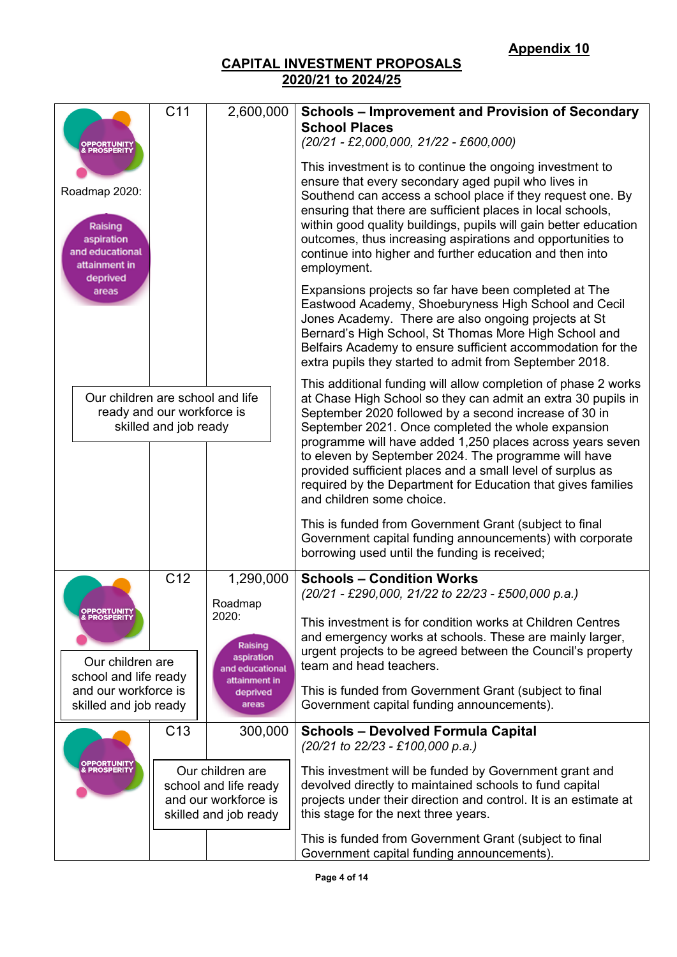|                                                                                        | C <sub>11</sub>                                     | 2,600,000                                                                                  | <b>Schools - Improvement and Provision of Secondary</b><br><b>School Places</b>                                                                                                                                                                                                                                                                                                                                                                           |
|----------------------------------------------------------------------------------------|-----------------------------------------------------|--------------------------------------------------------------------------------------------|-----------------------------------------------------------------------------------------------------------------------------------------------------------------------------------------------------------------------------------------------------------------------------------------------------------------------------------------------------------------------------------------------------------------------------------------------------------|
| DPPORTUNITY<br>& PROSPERITY                                                            |                                                     |                                                                                            | $(20/21 - \pounds2,000,000, 21/22 - \pounds600,000)$                                                                                                                                                                                                                                                                                                                                                                                                      |
| Roadmap 2020:<br>Raising<br>aspiration<br>and educational<br>attainment in<br>deprived |                                                     |                                                                                            | This investment is to continue the ongoing investment to<br>ensure that every secondary aged pupil who lives in<br>Southend can access a school place if they request one. By<br>ensuring that there are sufficient places in local schools,<br>within good quality buildings, pupils will gain better education<br>outcomes, thus increasing aspirations and opportunities to<br>continue into higher and further education and then into<br>employment. |
| areas                                                                                  |                                                     |                                                                                            | Expansions projects so far have been completed at The<br>Eastwood Academy, Shoeburyness High School and Cecil<br>Jones Academy. There are also ongoing projects at St<br>Bernard's High School, St Thomas More High School and<br>Belfairs Academy to ensure sufficient accommodation for the<br>extra pupils they started to admit from September 2018.                                                                                                  |
| Our children are school and life                                                       | ready and our workforce is<br>skilled and job ready |                                                                                            | This additional funding will allow completion of phase 2 works<br>at Chase High School so they can admit an extra 30 pupils in<br>September 2020 followed by a second increase of 30 in<br>September 2021. Once completed the whole expansion<br>programme will have added 1,250 places across years seven                                                                                                                                                |
|                                                                                        |                                                     |                                                                                            | to eleven by September 2024. The programme will have<br>provided sufficient places and a small level of surplus as<br>required by the Department for Education that gives families<br>and children some choice.                                                                                                                                                                                                                                           |
|                                                                                        |                                                     |                                                                                            | This is funded from Government Grant (subject to final<br>Government capital funding announcements) with corporate<br>borrowing used until the funding is received;                                                                                                                                                                                                                                                                                       |
|                                                                                        | C <sub>12</sub>                                     | 1,290,000<br>Roadmap                                                                       | <b>Schools - Condition Works</b><br>(20/21 - £290,000, 21/22 to 22/23 - £500,000 p.a.)                                                                                                                                                                                                                                                                                                                                                                    |
| <b>OPPORTUNITY</b><br>& PROSPERITY<br>Our children are<br>school and life ready        |                                                     | 2020:<br>Raising<br>aspiration<br>and educational                                          | This investment is for condition works at Children Centres<br>and emergency works at schools. These are mainly larger,<br>urgent projects to be agreed between the Council's property<br>team and head teachers.                                                                                                                                                                                                                                          |
| and our workforce is<br>skilled and job ready                                          |                                                     | attainment in<br>deprived<br>areas                                                         | This is funded from Government Grant (subject to final<br>Government capital funding announcements).                                                                                                                                                                                                                                                                                                                                                      |
|                                                                                        | C <sub>13</sub>                                     | 300,000                                                                                    | <b>Schools - Devolved Formula Capital</b><br>(20/21 to 22/23 - £100,000 p.a.)                                                                                                                                                                                                                                                                                                                                                                             |
| <b>OPPORTUNITY</b><br>& <b>PROSPERITY</b>                                              |                                                     | Our children are<br>school and life ready<br>and our workforce is<br>skilled and job ready | This investment will be funded by Government grant and<br>devolved directly to maintained schools to fund capital<br>projects under their direction and control. It is an estimate at<br>this stage for the next three years.                                                                                                                                                                                                                             |
|                                                                                        |                                                     |                                                                                            | This is funded from Government Grant (subject to final<br>Government capital funding announcements).                                                                                                                                                                                                                                                                                                                                                      |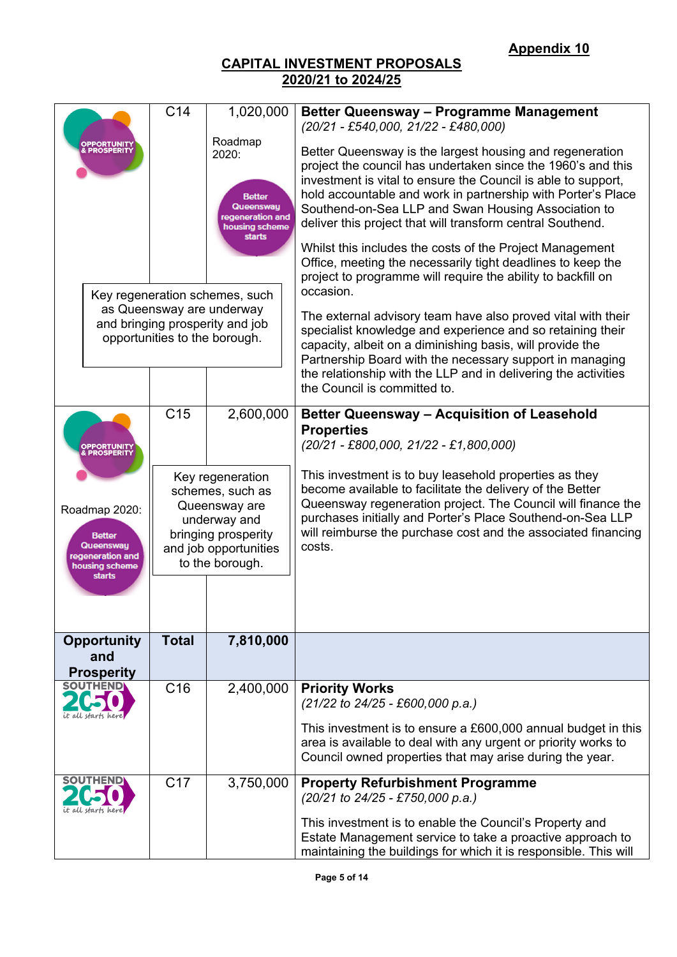|                                                                                                                                                     |                                                | C <sub>14</sub>                                                                                                                                                                                                                          | 1,020,000 | <b>Better Queensway - Programme Management</b><br>$(20/21 - \text{\textsterling}540,000, 21/22 - \text{\textsterling}480,000)$                                                                                                                                                                                                                                                                                                                                                                                                                                                                                                                                                                                                                                                                                                                                                                                  |  |  |  |
|-----------------------------------------------------------------------------------------------------------------------------------------------------|------------------------------------------------|------------------------------------------------------------------------------------------------------------------------------------------------------------------------------------------------------------------------------------------|-----------|-----------------------------------------------------------------------------------------------------------------------------------------------------------------------------------------------------------------------------------------------------------------------------------------------------------------------------------------------------------------------------------------------------------------------------------------------------------------------------------------------------------------------------------------------------------------------------------------------------------------------------------------------------------------------------------------------------------------------------------------------------------------------------------------------------------------------------------------------------------------------------------------------------------------|--|--|--|
| <b>OPPORTUNITY<br/>&amp; PROSPERITY</b>                                                                                                             |                                                | Roadmap<br>2020:<br><b>Better</b><br>Queensway<br>regeneration and<br>housing scheme<br><b>starts</b><br>Key regeneration schemes, such<br>as Queensway are underway<br>and bringing prosperity and job<br>opportunities to the borough. |           | Better Queensway is the largest housing and regeneration<br>project the council has undertaken since the 1960's and this<br>investment is vital to ensure the Council is able to support,<br>hold accountable and work in partnership with Porter's Place<br>Southend-on-Sea LLP and Swan Housing Association to<br>deliver this project that will transform central Southend.<br>Whilst this includes the costs of the Project Management<br>Office, meeting the necessarily tight deadlines to keep the<br>project to programme will require the ability to backfill on<br>occasion.<br>The external advisory team have also proved vital with their<br>specialist knowledge and experience and so retaining their<br>capacity, albeit on a diminishing basis, will provide the<br>Partnership Board with the necessary support in managing<br>the relationship with the LLP and in delivering the activities |  |  |  |
|                                                                                                                                                     |                                                |                                                                                                                                                                                                                                          |           | the Council is committed to.                                                                                                                                                                                                                                                                                                                                                                                                                                                                                                                                                                                                                                                                                                                                                                                                                                                                                    |  |  |  |
| <b>OPPORTUNITY</b><br><b>&amp; PROSPERITY</b><br>Roadmap 2020:<br><b>Better</b><br>Queensway<br>regeneration and<br>housing scheme<br><b>starts</b> |                                                | C <sub>15</sub>                                                                                                                                                                                                                          | 2,600,000 | <b>Better Queensway - Acquisition of Leasehold</b><br><b>Properties</b><br>$(20/21 - \text{\textsterling}800, 000, 21/22 - \text{\textsterling}1, 800, 000)$                                                                                                                                                                                                                                                                                                                                                                                                                                                                                                                                                                                                                                                                                                                                                    |  |  |  |
|                                                                                                                                                     |                                                | Key regeneration<br>schemes, such as<br>Queensway are<br>underway and<br>bringing prosperity<br>and job opportunities<br>to the borough.                                                                                                 |           | This investment is to buy leasehold properties as they<br>become available to facilitate the delivery of the Better<br>Queensway regeneration project. The Council will finance the<br>purchases initially and Porter's Place Southend-on-Sea LLP<br>will reimburse the purchase cost and the associated financing<br>costs.                                                                                                                                                                                                                                                                                                                                                                                                                                                                                                                                                                                    |  |  |  |
|                                                                                                                                                     |                                                |                                                                                                                                                                                                                                          |           |                                                                                                                                                                                                                                                                                                                                                                                                                                                                                                                                                                                                                                                                                                                                                                                                                                                                                                                 |  |  |  |
|                                                                                                                                                     | <b>Opportunity</b><br>and<br><b>Prosperity</b> | <b>Total</b>                                                                                                                                                                                                                             | 7,810,000 |                                                                                                                                                                                                                                                                                                                                                                                                                                                                                                                                                                                                                                                                                                                                                                                                                                                                                                                 |  |  |  |
|                                                                                                                                                     |                                                | C <sub>16</sub>                                                                                                                                                                                                                          | 2,400,000 | <b>Priority Works</b><br>(21/22 to 24/25 - £600,000 p.a.)                                                                                                                                                                                                                                                                                                                                                                                                                                                                                                                                                                                                                                                                                                                                                                                                                                                       |  |  |  |
|                                                                                                                                                     |                                                |                                                                                                                                                                                                                                          |           | This investment is to ensure a £600,000 annual budget in this<br>area is available to deal with any urgent or priority works to<br>Council owned properties that may arise during the year.                                                                                                                                                                                                                                                                                                                                                                                                                                                                                                                                                                                                                                                                                                                     |  |  |  |
|                                                                                                                                                     |                                                | C <sub>17</sub>                                                                                                                                                                                                                          | 3,750,000 | <b>Property Refurbishment Programme</b><br>(20/21 to 24/25 - £750,000 p.a.)                                                                                                                                                                                                                                                                                                                                                                                                                                                                                                                                                                                                                                                                                                                                                                                                                                     |  |  |  |
|                                                                                                                                                     |                                                |                                                                                                                                                                                                                                          |           | This investment is to enable the Council's Property and<br>Estate Management service to take a proactive approach to<br>maintaining the buildings for which it is responsible. This will                                                                                                                                                                                                                                                                                                                                                                                                                                                                                                                                                                                                                                                                                                                        |  |  |  |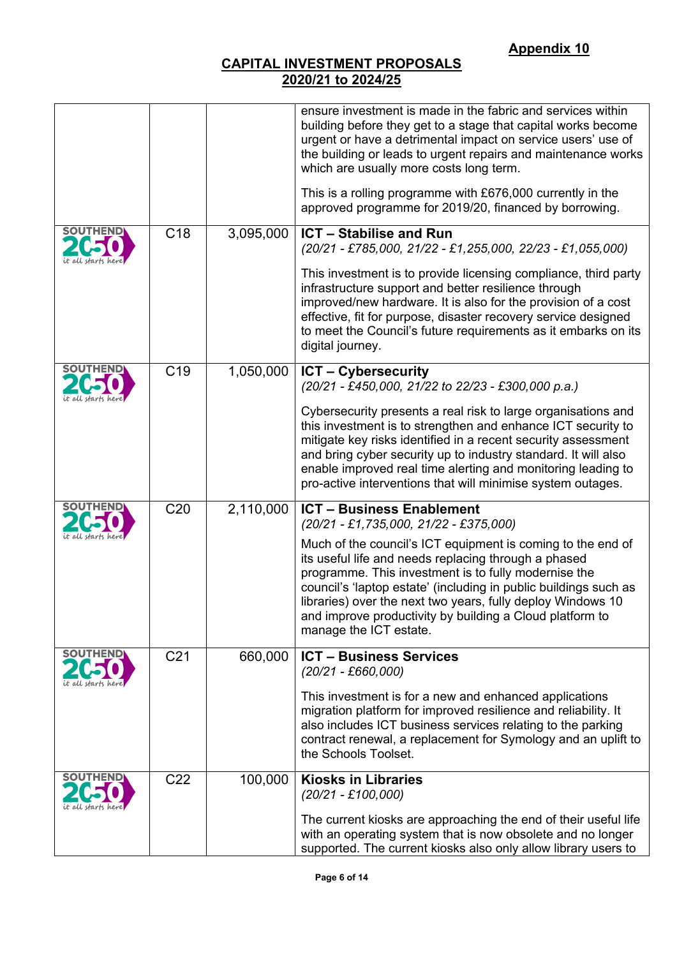|                 |                 |           | ensure investment is made in the fabric and services within<br>building before they get to a stage that capital works become<br>urgent or have a detrimental impact on service users' use of<br>the building or leads to urgent repairs and maintenance works<br>which are usually more costs long term.<br>This is a rolling programme with £676,000 currently in the                               |
|-----------------|-----------------|-----------|------------------------------------------------------------------------------------------------------------------------------------------------------------------------------------------------------------------------------------------------------------------------------------------------------------------------------------------------------------------------------------------------------|
|                 |                 |           | approved programme for 2019/20, financed by borrowing.                                                                                                                                                                                                                                                                                                                                               |
| <b>SOUTHEN</b>  | C <sub>18</sub> | 3,095,000 | <b>ICT - Stabilise and Run</b><br>(20/21 - £785,000, 21/22 - £1,255,000, 22/23 - £1,055,000)                                                                                                                                                                                                                                                                                                         |
|                 |                 |           | This investment is to provide licensing compliance, third party<br>infrastructure support and better resilience through<br>improved/new hardware. It is also for the provision of a cost<br>effective, fit for purpose, disaster recovery service designed<br>to meet the Council's future requirements as it embarks on its<br>digital journey.                                                     |
|                 | C <sub>19</sub> | 1,050,000 | <b>ICT - Cybersecurity</b><br>(20/21 - £450,000, 21/22 to 22/23 - £300,000 p.a.)                                                                                                                                                                                                                                                                                                                     |
|                 |                 |           | Cybersecurity presents a real risk to large organisations and<br>this investment is to strengthen and enhance ICT security to<br>mitigate key risks identified in a recent security assessment<br>and bring cyber security up to industry standard. It will also<br>enable improved real time alerting and monitoring leading to<br>pro-active interventions that will minimise system outages.      |
|                 | C <sub>20</sub> | 2,110,000 | <b>ICT - Business Enablement</b><br>$(20/21 - \pounds1, 735, 000, 21/22 - \pounds375, 000)$                                                                                                                                                                                                                                                                                                          |
|                 |                 |           | Much of the council's ICT equipment is coming to the end of<br>its useful life and needs replacing through a phased<br>programme. This investment is to fully modernise the<br>council's 'laptop estate' (including in public buildings such as<br>libraries) over the next two years, fully deploy Windows 10<br>and improve productivity by building a Cloud platform to<br>manage the ICT estate. |
| <b>SOUTHEND</b> | C <sub>21</sub> | 660,000   | <b>ICT - Business Services</b><br>$(20/21 - \text{\pounds}660,000)$                                                                                                                                                                                                                                                                                                                                  |
|                 |                 |           | This investment is for a new and enhanced applications<br>migration platform for improved resilience and reliability. It<br>also includes ICT business services relating to the parking<br>contract renewal, a replacement for Symology and an uplift to<br>the Schools Toolset.                                                                                                                     |
| <b>SOUTHEND</b> | C <sub>22</sub> | 100,000   | <b>Kiosks in Libraries</b><br>$(20/21 - £100,000)$                                                                                                                                                                                                                                                                                                                                                   |
|                 |                 |           | The current kiosks are approaching the end of their useful life<br>with an operating system that is now obsolete and no longer<br>supported. The current kiosks also only allow library users to                                                                                                                                                                                                     |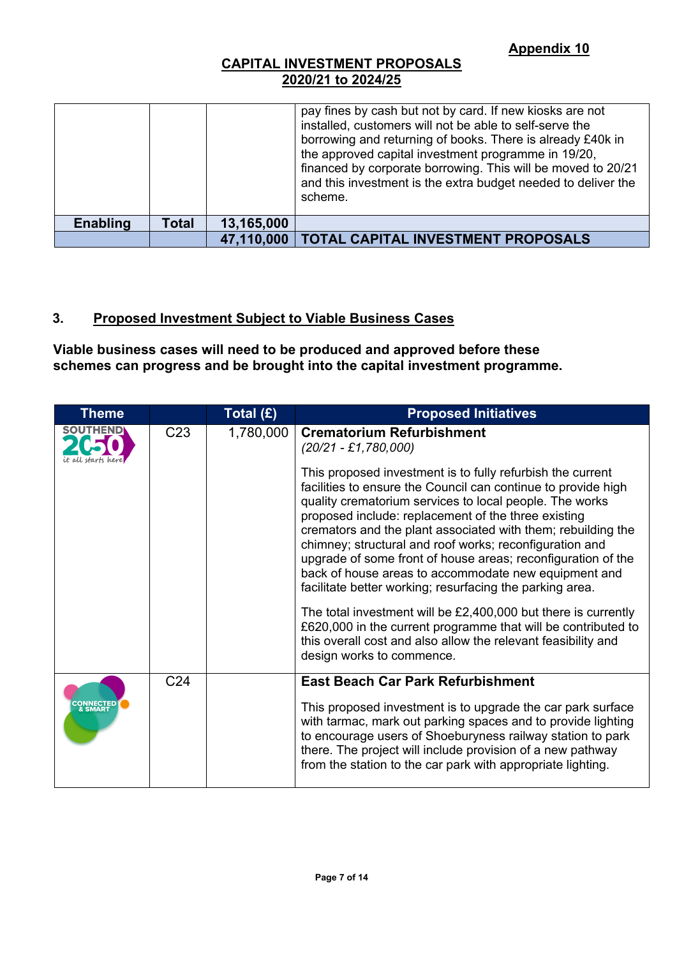|                 |              |            | pay fines by cash but not by card. If new kiosks are not<br>installed, customers will not be able to self-serve the<br>borrowing and returning of books. There is already £40k in<br>the approved capital investment programme in 19/20,<br>financed by corporate borrowing. This will be moved to 20/21<br>and this investment is the extra budget needed to deliver the<br>scheme. |
|-----------------|--------------|------------|--------------------------------------------------------------------------------------------------------------------------------------------------------------------------------------------------------------------------------------------------------------------------------------------------------------------------------------------------------------------------------------|
| <b>Enabling</b> | <b>Total</b> | 13,165,000 |                                                                                                                                                                                                                                                                                                                                                                                      |
|                 |              |            | 47,110,000   TOTAL CAPITAL INVESTMENT PROPOSALS                                                                                                                                                                                                                                                                                                                                      |

## **3. Proposed Investment Subject to Viable Business Cases**

**Viable business cases will need to be produced and approved before these schemes can progress and be brought into the capital investment programme.**

| <b>Theme</b>                |                 | Total (£) | <b>Proposed Initiatives</b>                                                                                                                                                                                                                                                                                                                                                                                                                                                                                                                                                                                                                                                                                                                                                                     |
|-----------------------------|-----------------|-----------|-------------------------------------------------------------------------------------------------------------------------------------------------------------------------------------------------------------------------------------------------------------------------------------------------------------------------------------------------------------------------------------------------------------------------------------------------------------------------------------------------------------------------------------------------------------------------------------------------------------------------------------------------------------------------------------------------------------------------------------------------------------------------------------------------|
| <b>SOUTHEND</b>             | C <sub>23</sub> | 1,780,000 | <b>Crematorium Refurbishment</b><br>$(20/21 - \pounds1, 780, 000)$                                                                                                                                                                                                                                                                                                                                                                                                                                                                                                                                                                                                                                                                                                                              |
|                             |                 |           | This proposed investment is to fully refurbish the current<br>facilities to ensure the Council can continue to provide high<br>quality crematorium services to local people. The works<br>proposed include: replacement of the three existing<br>cremators and the plant associated with them; rebuilding the<br>chimney; structural and roof works; reconfiguration and<br>upgrade of some front of house areas; reconfiguration of the<br>back of house areas to accommodate new equipment and<br>facilitate better working; resurfacing the parking area.<br>The total investment will be $£2,400,000$ but there is currently<br>£620,000 in the current programme that will be contributed to<br>this overall cost and also allow the relevant feasibility and<br>design works to commence. |
|                             | C <sub>24</sub> |           | <b>East Beach Car Park Refurbishment</b>                                                                                                                                                                                                                                                                                                                                                                                                                                                                                                                                                                                                                                                                                                                                                        |
| <b>CONNECTED</b><br>& SMART |                 |           | This proposed investment is to upgrade the car park surface<br>with tarmac, mark out parking spaces and to provide lighting<br>to encourage users of Shoeburyness railway station to park<br>there. The project will include provision of a new pathway<br>from the station to the car park with appropriate lighting.                                                                                                                                                                                                                                                                                                                                                                                                                                                                          |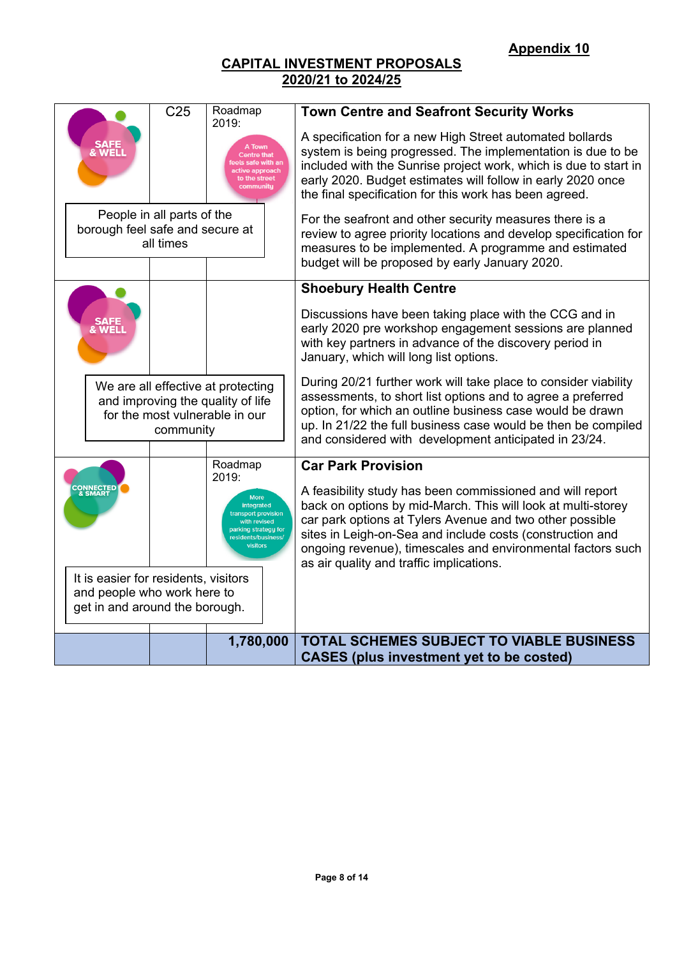| C <sub>25</sub>                                                                                                        | Roadmap                                                                                                                              | <b>Town Centre and Seafront Security Works</b>                                                                                                                                                                                                                                                                                                                |
|------------------------------------------------------------------------------------------------------------------------|--------------------------------------------------------------------------------------------------------------------------------------|---------------------------------------------------------------------------------------------------------------------------------------------------------------------------------------------------------------------------------------------------------------------------------------------------------------------------------------------------------------|
|                                                                                                                        | 2019:<br>A Town<br><b>Centre that</b><br>Is safe with ar<br>ctive approach<br>to the street<br>community                             | A specification for a new High Street automated bollards<br>system is being progressed. The implementation is due to be<br>included with the Sunrise project work, which is due to start in<br>early 2020. Budget estimates will follow in early 2020 once<br>the final specification for this work has been agreed.                                          |
| People in all parts of the<br>borough feel safe and secure at<br>all times                                             |                                                                                                                                      | For the seafront and other security measures there is a<br>review to agree priority locations and develop specification for<br>measures to be implemented. A programme and estimated<br>budget will be proposed by early January 2020.                                                                                                                        |
|                                                                                                                        |                                                                                                                                      | <b>Shoebury Health Centre</b>                                                                                                                                                                                                                                                                                                                                 |
| <b>&amp; WEL</b>                                                                                                       |                                                                                                                                      | Discussions have been taking place with the CCG and in<br>early 2020 pre workshop engagement sessions are planned<br>with key partners in advance of the discovery period in<br>January, which will long list options.                                                                                                                                        |
| We are all effective at protecting<br>and improving the quality of life<br>for the most vulnerable in our<br>community |                                                                                                                                      | During 20/21 further work will take place to consider viability<br>assessments, to short list options and to agree a preferred<br>option, for which an outline business case would be drawn<br>up. In 21/22 the full business case would be then be compiled<br>and considered with development anticipated in 23/24.                                         |
|                                                                                                                        | Roadmap                                                                                                                              | <b>Car Park Provision</b>                                                                                                                                                                                                                                                                                                                                     |
| <b>CONNECTED</b><br>& SMART<br>It is easier for residents, visitors                                                    | 2019:<br><b>More</b><br>integrated<br>transport provision<br>with revised<br>parking strategy for<br>residents/business/<br>visitors | A feasibility study has been commissioned and will report<br>back on options by mid-March. This will look at multi-storey<br>car park options at Tylers Avenue and two other possible<br>sites in Leigh-on-Sea and include costs (construction and<br>ongoing revenue), timescales and environmental factors such<br>as air quality and traffic implications. |
| and people who work here to                                                                                            |                                                                                                                                      |                                                                                                                                                                                                                                                                                                                                                               |
| get in and around the borough.                                                                                         |                                                                                                                                      |                                                                                                                                                                                                                                                                                                                                                               |
|                                                                                                                        | 1,780,000                                                                                                                            | <b>TOTAL SCHEMES SUBJECT TO VIABLE BUSINESS</b><br><b>CASES</b> (plus investment yet to be costed)                                                                                                                                                                                                                                                            |
|                                                                                                                        |                                                                                                                                      |                                                                                                                                                                                                                                                                                                                                                               |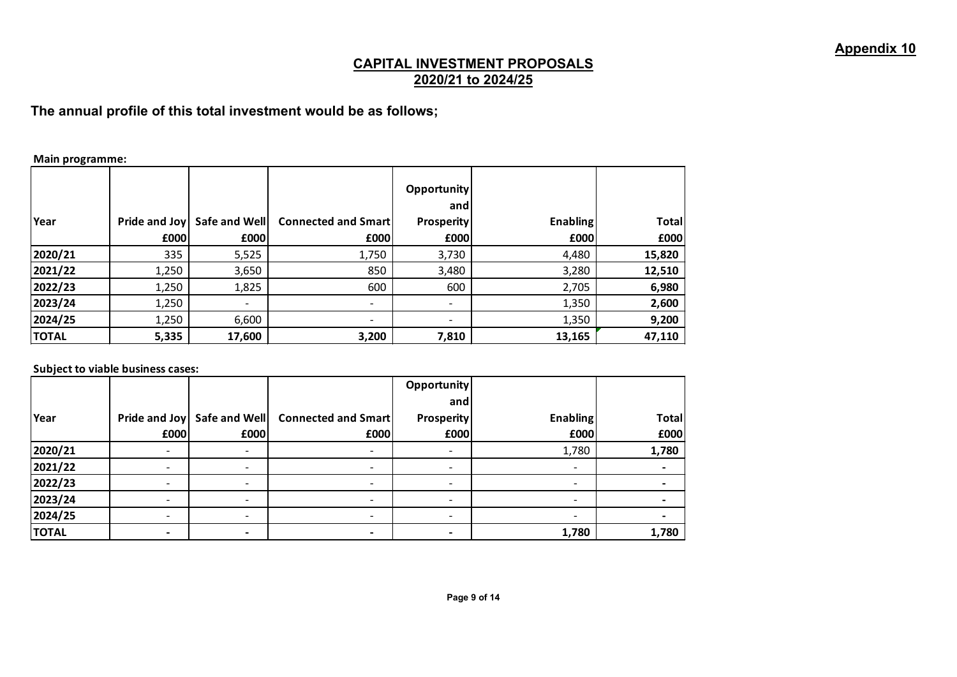**The annual profile of this total investment would be as follows;**

#### **Main programme:**

| Year         | £000  | Pride and Joy   Safe and Well<br>£000 | <b>Connected and Smart</b><br>£000 | <b>Opportunity</b><br>and<br><b>Prosperity</b><br>£000 | <b>Enabling</b><br>£000 | <b>Total</b><br>£000 |
|--------------|-------|---------------------------------------|------------------------------------|--------------------------------------------------------|-------------------------|----------------------|
| 2020/21      | 335   | 5,525                                 | 1,750                              | 3,730                                                  | 4,480                   | 15,820               |
| 2021/22      | 1,250 | 3,650                                 | 850                                | 3,480                                                  | 3,280                   | 12,510               |
| 2022/23      | 1,250 | 1,825                                 | 600                                | 600                                                    | 2,705                   | 6,980                |
| 2023/24      | 1,250 | $\overline{\phantom{a}}$              | $\overline{\phantom{a}}$           | -                                                      | 1,350                   | 2,600                |
| 2024/25      | 1,250 | 6,600                                 | $\overline{\phantom{0}}$           | $\overline{\phantom{a}}$                               | 1,350                   | 9,200                |
| <b>TOTAL</b> | 5,335 | 17,600                                | 3,200                              | 7,810                                                  | 13,165                  | 47,110               |

#### **Subject to viable business cases:**

|              |               |                          |                            | Opportunity       |                          |              |
|--------------|---------------|--------------------------|----------------------------|-------------------|--------------------------|--------------|
|              |               |                          |                            | and               |                          |              |
| Year         | Pride and Joy | Safe and Well            | <b>Connected and Smart</b> | <b>Prosperity</b> | <b>Enabling</b>          | <b>Total</b> |
|              | £000          | £000                     | £000                       | £000              | £000                     | £000         |
| 2020/21      |               |                          |                            |                   | 1,780                    | 1,780        |
| 2021/22      |               |                          |                            |                   |                          |              |
| 2022/23      |               | $\overline{\phantom{a}}$ | -                          |                   | $\overline{\phantom{0}}$ |              |
| 2023/24      |               |                          |                            |                   |                          |              |
| 2024/25      |               |                          |                            |                   |                          |              |
| <b>TOTAL</b> |               |                          |                            |                   | 1,780                    | 1,780        |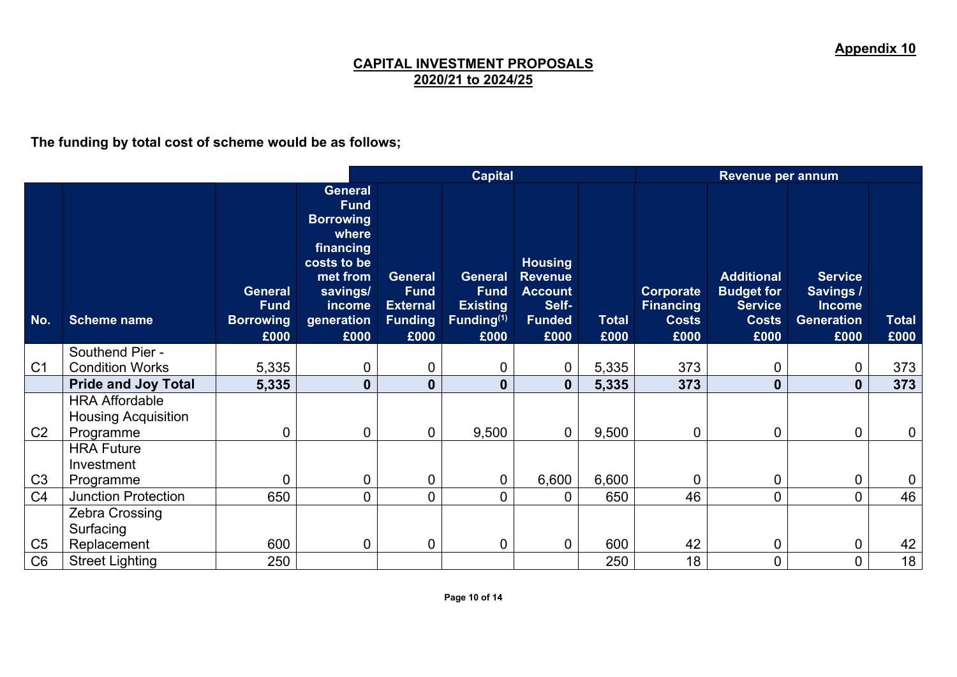**The funding by total cost of scheme would be as follows;**

|                                                                                                                                                                                                                                                                                                                                                                                                                                                                                                                                                                                                                                                                    |                                                                           | Revenue per annum    |  |  |  |  |
|--------------------------------------------------------------------------------------------------------------------------------------------------------------------------------------------------------------------------------------------------------------------------------------------------------------------------------------------------------------------------------------------------------------------------------------------------------------------------------------------------------------------------------------------------------------------------------------------------------------------------------------------------------------------|---------------------------------------------------------------------------|----------------------|--|--|--|--|
| <b>General</b><br><b>Fund</b><br><b>Borrowing</b><br>where<br>financing<br>costs to be<br><b>Housing</b><br><b>Additional</b><br>met from<br><b>Revenue</b><br><b>General</b><br><b>General</b><br>savings/<br><b>Budget for</b><br><b>Fund</b><br><b>Fund</b><br><b>Account</b><br>Corporate<br><b>General</b><br><b>Existing</b><br>Self-<br><b>Service</b><br><b>Fund</b><br>income<br><b>External</b><br><b>Financing</b><br>No.<br><b>Borrowing</b><br>Funding <sup>(1)</sup><br><b>Funded</b><br>generation<br>Funding<br><b>Total</b><br><b>Costs</b><br><b>Costs</b><br><b>Scheme name</b><br>£000<br>£000<br>£000<br>£000<br>£000<br>£000<br>£000<br>£000 | <b>Service</b><br>Savings /<br><b>Income</b><br><b>Generation</b><br>£000 | <b>Total</b><br>£000 |  |  |  |  |
| Southend Pier -<br>C <sub>1</sub><br><b>Condition Works</b>                                                                                                                                                                                                                                                                                                                                                                                                                                                                                                                                                                                                        |                                                                           |                      |  |  |  |  |
| 5,335<br>5,335<br>373<br>0<br>$\mathbf 0$<br>$\overline{0}$<br>0<br>0<br><b>Pride and Joy Total</b><br>$\mathbf 0$<br>5,335<br>373<br>5,335<br>$\mathbf{0}$<br>$\mathbf{0}$<br>$\bf{0}$<br>$\bf{0}$                                                                                                                                                                                                                                                                                                                                                                                                                                                                | 0<br>$\mathbf{0}$                                                         | 373<br>373           |  |  |  |  |
| <b>HRA Affordable</b><br><b>Housing Acquisition</b><br>C <sub>2</sub><br>9,500<br>$\mathbf 0$<br>9,500<br>$\mathbf 0$<br>$\overline{0}$<br>0<br>$\boldsymbol{0}$<br>0<br>Programme                                                                                                                                                                                                                                                                                                                                                                                                                                                                                 | $\mathbf 0$                                                               | $\boldsymbol{0}$     |  |  |  |  |
| <b>HRA Future</b><br>Investment<br>C <sub>3</sub><br>$\mathbf 0$<br>6,600<br>6,600<br>$\Omega$<br>$\mathbf 0$<br>$\mathbf 0$<br>$\mathbf 0$<br>0<br>Programme                                                                                                                                                                                                                                                                                                                                                                                                                                                                                                      | $\overline{0}$                                                            | 0                    |  |  |  |  |
| C <sub>4</sub><br>650<br>$\mathbf 0$<br>46<br><b>Junction Protection</b><br>650<br>$\overline{0}$<br>$\overline{0}$<br>0<br>0                                                                                                                                                                                                                                                                                                                                                                                                                                                                                                                                      | $\overline{0}$                                                            | 46                   |  |  |  |  |
| Zebra Crossing<br>Surfacing                                                                                                                                                                                                                                                                                                                                                                                                                                                                                                                                                                                                                                        |                                                                           |                      |  |  |  |  |
| C <sub>5</sub><br>600<br>42<br>0<br>$\overline{0}$<br>$\overline{0}$<br>$\overline{0}$<br>600<br>0<br>Replacement<br>C <sub>6</sub><br>250<br>18<br><b>Street Lighting</b><br>250<br>0                                                                                                                                                                                                                                                                                                                                                                                                                                                                             | $\mathbf 0$<br>0                                                          | 42<br>18             |  |  |  |  |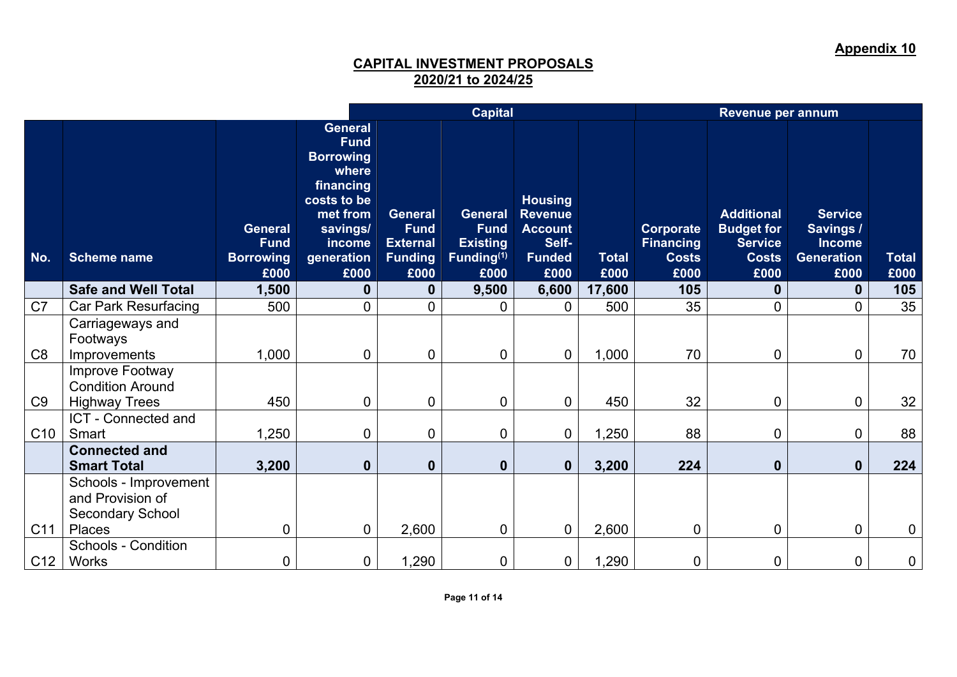**Appendix 10**

|                 |                                                                      | <b>Capital</b>                                            |                                                                                                                                         |                                                                            |                                                                                    | Revenue per annum                                                                    |                      |                                                       |                                                                                  |                                                                    |                      |
|-----------------|----------------------------------------------------------------------|-----------------------------------------------------------|-----------------------------------------------------------------------------------------------------------------------------------------|----------------------------------------------------------------------------|------------------------------------------------------------------------------------|--------------------------------------------------------------------------------------|----------------------|-------------------------------------------------------|----------------------------------------------------------------------------------|--------------------------------------------------------------------|----------------------|
| No.             | <b>Scheme name</b>                                                   | <b>General</b><br><b>Fund</b><br><b>Borrowing</b><br>£000 | General<br><b>Fund</b><br><b>Borrowing</b><br>where<br>financing<br>costs to be<br>met from<br>savings/<br>income<br>generation<br>£000 | <b>General</b><br><b>Fund</b><br><b>External</b><br><b>Funding</b><br>£000 | <b>General</b><br><b>Fund</b><br><b>Existing</b><br>Funding <sup>(1)</sup><br>£000 | <b>Housing</b><br><b>Revenue</b><br><b>Account</b><br>Self-<br><b>Funded</b><br>£000 | <b>Total</b><br>£000 | Corporate<br><b>Financing</b><br><b>Costs</b><br>£000 | <b>Additional</b><br><b>Budget for</b><br><b>Service</b><br><b>Costs</b><br>£000 | <b>Service</b><br>Savings /<br><b>Income</b><br>Generation<br>£000 | <b>Total</b><br>£000 |
|                 | <b>Safe and Well Total</b>                                           | 1,500                                                     | $\boldsymbol{0}$                                                                                                                        | 0                                                                          | 9,500                                                                              | 6,600                                                                                | 17,600               | 105                                                   | $\bf{0}$                                                                         | 0                                                                  | 105                  |
| C <sub>7</sub>  | <b>Car Park Resurfacing</b>                                          | 500                                                       | $\mathbf 0$                                                                                                                             | $\overline{0}$                                                             | $\Omega$                                                                           | $\Omega$                                                                             | 500                  | 35                                                    | $\overline{0}$                                                                   | 0                                                                  | 35                   |
| C <sub>8</sub>  | Carriageways and<br>Footways<br>Improvements                         | 1,000                                                     | $\mathbf 0$                                                                                                                             | $\overline{0}$                                                             | $\overline{0}$                                                                     | $\overline{0}$                                                                       | 1,000                | 70                                                    | 0                                                                                | $\overline{0}$                                                     | 70                   |
| C <sub>9</sub>  | Improve Footway<br><b>Condition Around</b><br><b>Highway Trees</b>   | 450                                                       | $\overline{0}$                                                                                                                          | $\mathbf 0$                                                                | $\mathbf 0$                                                                        | $\overline{0}$                                                                       | 450                  | 32                                                    | 0                                                                                | $\mathbf 0$                                                        | 32                   |
|                 | ICT - Connected and                                                  |                                                           |                                                                                                                                         |                                                                            |                                                                                    |                                                                                      |                      |                                                       |                                                                                  |                                                                    |                      |
| C <sub>10</sub> | Smart                                                                | 1,250                                                     | $\overline{0}$                                                                                                                          | 0                                                                          | $\mathbf 0$                                                                        | $\overline{0}$                                                                       | 1,250                | 88                                                    | 0                                                                                | $\overline{0}$                                                     | 88                   |
|                 | <b>Connected and</b><br><b>Smart Total</b>                           | 3,200                                                     | $\mathbf 0$                                                                                                                             | $\mathbf{0}$                                                               | $\mathbf{0}$                                                                       | $\mathbf 0$                                                                          | 3,200                | 224                                                   | $\mathbf{0}$                                                                     | $\mathbf 0$                                                        | 224                  |
|                 | Schools - Improvement<br>and Provision of<br><b>Secondary School</b> |                                                           |                                                                                                                                         |                                                                            |                                                                                    |                                                                                      |                      |                                                       |                                                                                  |                                                                    |                      |
| C11             | Places                                                               | 0                                                         | $\mathbf 0$                                                                                                                             | 2,600                                                                      | $\mathbf 0$                                                                        | $\mathbf 0$                                                                          | 2,600                | $\mathbf 0$                                           | 0                                                                                | 0                                                                  | $\overline{0}$       |
| C12             | <b>Schools - Condition</b><br>Works                                  | $\overline{0}$                                            | $\overline{0}$                                                                                                                          | 1,290                                                                      | $\mathbf 0$                                                                        | $\mathbf 0$                                                                          | 1,290                | 0                                                     | 0                                                                                | 0                                                                  | 0                    |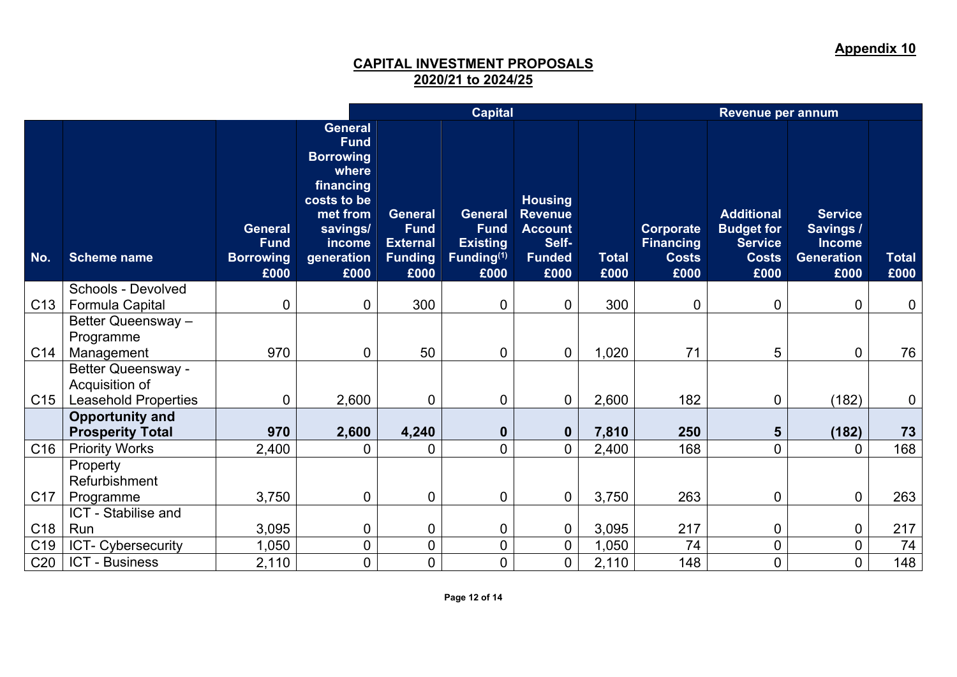**Appendix 10**

|                 |                                                                            |                                                    |                                                                                                                                                |                                                                            | <b>Capital</b>                                                                     |                                                                                      |               | Revenue per annum                                     |                                                                                  |                                                                    |               |  |  |
|-----------------|----------------------------------------------------------------------------|----------------------------------------------------|------------------------------------------------------------------------------------------------------------------------------------------------|----------------------------------------------------------------------------|------------------------------------------------------------------------------------|--------------------------------------------------------------------------------------|---------------|-------------------------------------------------------|----------------------------------------------------------------------------------|--------------------------------------------------------------------|---------------|--|--|
| No.             | <b>Scheme name</b>                                                         | General<br><b>Fund</b><br><b>Borrowing</b><br>£000 | <b>General</b><br><b>Fund</b><br><b>Borrowing</b><br>where<br>financing<br>costs to be<br>met from<br>savings/<br>income<br>generation<br>£000 | <b>General</b><br><b>Fund</b><br><b>External</b><br><b>Funding</b><br>£000 | <b>General</b><br><b>Fund</b><br><b>Existing</b><br>Funding <sup>(1)</sup><br>£000 | <b>Housing</b><br><b>Revenue</b><br><b>Account</b><br>Self-<br><b>Funded</b><br>£000 | Total<br>£000 | Corporate<br><b>Financing</b><br><b>Costs</b><br>£000 | <b>Additional</b><br><b>Budget for</b><br><b>Service</b><br><b>Costs</b><br>£000 | <b>Service</b><br>Savings 7<br><b>Income</b><br>Generation<br>£000 | Total<br>£000 |  |  |
|                 | Schools - Devolved                                                         |                                                    |                                                                                                                                                |                                                                            |                                                                                    |                                                                                      |               |                                                       |                                                                                  |                                                                    |               |  |  |
| C <sub>13</sub> | Formula Capital                                                            | $\overline{0}$                                     | $\mathbf 0$                                                                                                                                    | 300                                                                        | 0                                                                                  | $\mathbf 0$                                                                          | 300           | $\mathbf 0$                                           | 0                                                                                | $\mathbf 0$                                                        | 0             |  |  |
|                 | Better Queensway -                                                         |                                                    |                                                                                                                                                |                                                                            |                                                                                    |                                                                                      |               |                                                       |                                                                                  |                                                                    |               |  |  |
|                 | Programme                                                                  |                                                    |                                                                                                                                                |                                                                            |                                                                                    |                                                                                      |               |                                                       |                                                                                  |                                                                    |               |  |  |
| C14             | Management                                                                 | 970                                                | $\mathbf 0$                                                                                                                                    | 50                                                                         | $\mathbf 0$                                                                        | $\overline{0}$                                                                       | 1,020         | 71                                                    | 5                                                                                | $\overline{0}$                                                     | 76            |  |  |
| C15             | <b>Better Queensway -</b><br>Acquisition of<br><b>Leasehold Properties</b> | $\overline{0}$                                     | 2,600                                                                                                                                          | 0                                                                          | $\mathbf 0$                                                                        | $\overline{0}$                                                                       | 2,600         | 182                                                   | 0                                                                                | (182)                                                              | 0             |  |  |
|                 | <b>Opportunity and</b>                                                     |                                                    |                                                                                                                                                |                                                                            |                                                                                    |                                                                                      |               |                                                       |                                                                                  |                                                                    |               |  |  |
|                 | <b>Prosperity Total</b>                                                    | 970                                                | 2,600                                                                                                                                          | 4,240                                                                      | $\mathbf 0$                                                                        | $\mathbf 0$                                                                          | 7,810         | 250                                                   | $5\phantom{1}$                                                                   | (182)                                                              | 73            |  |  |
| C16             | <b>Priority Works</b>                                                      | 2,400                                              | 0                                                                                                                                              | $\overline{0}$                                                             | 0                                                                                  | $\overline{0}$                                                                       | 2,400         | 168                                                   | $\mathbf 0$                                                                      | $\mathbf{0}$                                                       | 168           |  |  |
|                 | Property<br>Refurbishment                                                  |                                                    |                                                                                                                                                |                                                                            |                                                                                    |                                                                                      |               |                                                       |                                                                                  |                                                                    |               |  |  |
| C <sub>17</sub> | Programme                                                                  | 3,750                                              | $\mathbf 0$                                                                                                                                    | $\overline{0}$                                                             | 0                                                                                  | $\mathbf 0$                                                                          | 3,750         | 263                                                   | 0                                                                                | $\mathbf 0$                                                        | 263           |  |  |
|                 | ICT - Stabilise and                                                        |                                                    |                                                                                                                                                |                                                                            |                                                                                    |                                                                                      |               |                                                       |                                                                                  |                                                                    |               |  |  |
| C <sub>18</sub> | Run                                                                        | 3,095                                              | $\mathbf 0$                                                                                                                                    | $\overline{0}$                                                             | $\mathbf 0$                                                                        | $\mathbf 0$                                                                          | 3,095         | 217                                                   | $\mathbf 0$                                                                      | $\mathbf 0$                                                        | 217           |  |  |
| C <sub>19</sub> | ICT- Cybersecurity                                                         | 1,050                                              | $\mathbf 0$                                                                                                                                    | 0                                                                          | 0                                                                                  | $\overline{0}$                                                                       | 1,050         | 74                                                    | $\mathbf 0$                                                                      | $\overline{0}$                                                     | 74            |  |  |
| C <sub>20</sub> | <b>ICT - Business</b>                                                      | 2,110                                              | $\mathbf 0$                                                                                                                                    | $\overline{0}$                                                             | 0                                                                                  | $\overline{0}$                                                                       | 2,110         | 148                                                   | $\mathbf 0$                                                                      | $\overline{0}$                                                     | 148           |  |  |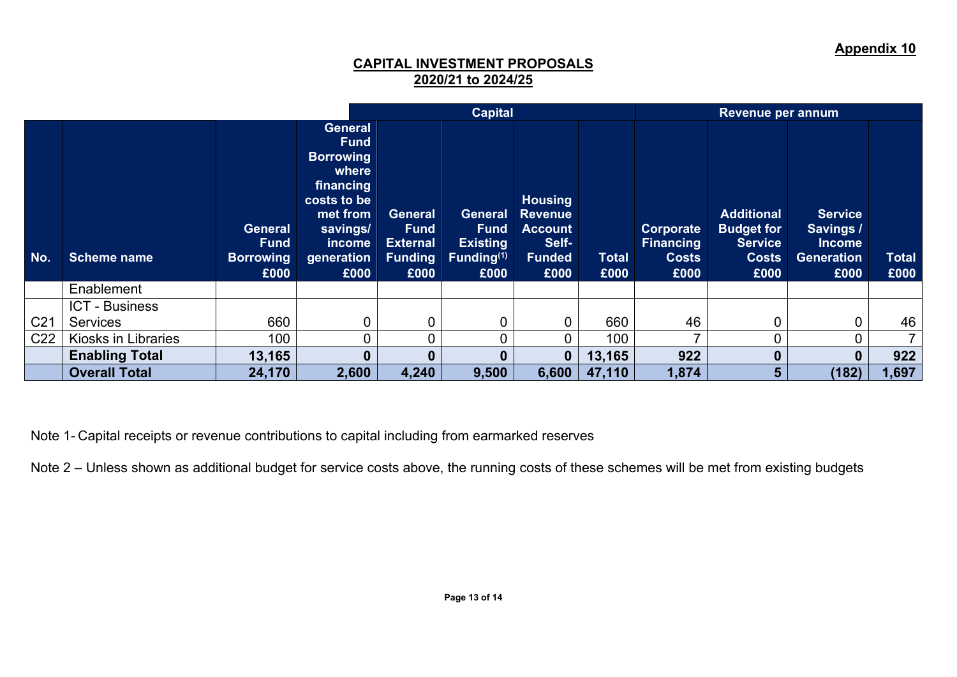|                 |                       |                                                           |                                                                                                                                                |                                                                     | <b>Capital</b>                                                                     |                                                                                      |                      |                                                       |                                                                                  |                                                                           |                      |
|-----------------|-----------------------|-----------------------------------------------------------|------------------------------------------------------------------------------------------------------------------------------------------------|---------------------------------------------------------------------|------------------------------------------------------------------------------------|--------------------------------------------------------------------------------------|----------------------|-------------------------------------------------------|----------------------------------------------------------------------------------|---------------------------------------------------------------------------|----------------------|
| No.             | Scheme name           | <b>General</b><br><b>Fund</b><br><b>Borrowing</b><br>£000 | <b>General</b><br><b>Fund</b><br><b>Borrowing</b><br>where<br>financing<br>costs to be<br>met from<br>savings/<br>income<br>generation<br>£000 | General<br><b>Fund</b><br><b>External</b><br><b>Funding</b><br>£000 | <b>General</b><br><b>Fund</b><br><b>Existing</b><br>Funding <sup>(1)</sup><br>£000 | <b>Housing</b><br><b>Revenue</b><br><b>Account</b><br>Self-<br><b>Funded</b><br>£000 | <b>Total</b><br>£000 | Corporate<br><b>Financing</b><br><b>Costs</b><br>£000 | <b>Additional</b><br><b>Budget for</b><br><b>Service</b><br><b>Costs</b><br>£000 | <b>Service</b><br>Savings /<br><b>Income</b><br><b>Generation</b><br>£000 | <b>Total</b><br>£000 |
|                 | Enablement            |                                                           |                                                                                                                                                |                                                                     |                                                                                    |                                                                                      |                      |                                                       |                                                                                  |                                                                           |                      |
|                 | <b>ICT - Business</b> |                                                           |                                                                                                                                                |                                                                     |                                                                                    |                                                                                      |                      |                                                       |                                                                                  |                                                                           |                      |
| C <sub>21</sub> | <b>Services</b>       | 660                                                       | 0                                                                                                                                              |                                                                     |                                                                                    | 0                                                                                    | 660                  | 46                                                    | 0                                                                                | $\mathbf 0$                                                               | 46                   |
| C <sub>22</sub> | Kiosks in Libraries   | 100                                                       | 0                                                                                                                                              |                                                                     |                                                                                    |                                                                                      | 100                  |                                                       | 0                                                                                |                                                                           | $\overline{7}$       |
|                 | <b>Enabling Total</b> | 13,165                                                    | $\bf{0}$                                                                                                                                       |                                                                     | 0                                                                                  | $\mathbf{0}$                                                                         | 13,165               | 922                                                   | 0                                                                                | 0                                                                         | 922                  |
|                 | <b>Overall Total</b>  | 24,170                                                    | 2,600                                                                                                                                          | 4,240                                                               | 9,500                                                                              | 6,600                                                                                | 47,110               | 1,874                                                 | 5                                                                                | (182)                                                                     | 1,697                |

Note 1- Capital receipts or revenue contributions to capital including from earmarked reserves

Note 2 – Unless shown as additional budget for service costs above, the running costs of these schemes will be met from existing budgets